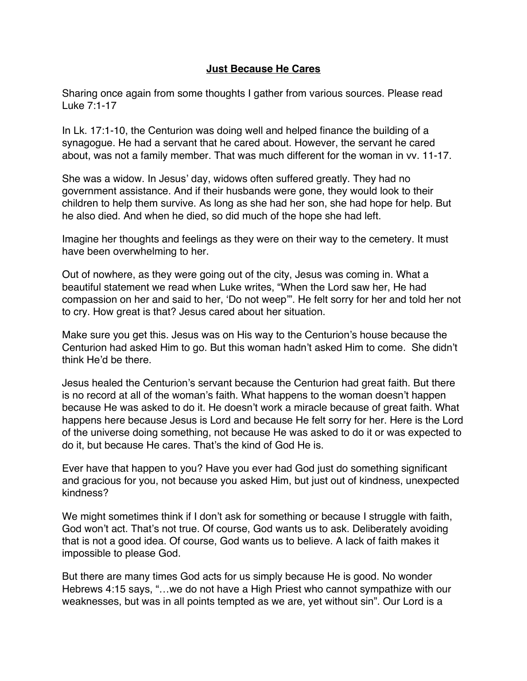## **Just Because He Cares**

Sharing once again from some thoughts I gather from various sources. Please read Luke 7:1-17

In Lk. 17:1-10, the Centurion was doing well and helped finance the building of a synagogue. He had a servant that he cared about. However, the servant he cared about, was not a family member. That was much different for the woman in vv. 11-17.

She was a widow. In Jesus' day, widows often suffered greatly. They had no government assistance. And if their husbands were gone, they would look to their children to help them survive. As long as she had her son, she had hope for help. But he also died. And when he died, so did much of the hope she had left.

Imagine her thoughts and feelings as they were on their way to the cemetery. It must have been overwhelming to her.

Out of nowhere, as they were going out of the city, Jesus was coming in. What a beautiful statement we read when Luke writes, "When the Lord saw her, He had compassion on her and said to her, 'Do not weep'". He felt sorry for her and told her not to cry. How great is that? Jesus cared about her situation.

Make sure you get this. Jesus was on His way to the Centurion's house because the Centurion had asked Him to go. But this woman hadn't asked Him to come. She didn't think He'd be there.

Jesus healed the Centurion's servant because the Centurion had great faith. But there is no record at all of the woman's faith. What happens to the woman doesn't happen because He was asked to do it. He doesn't work a miracle because of great faith. What happens here because Jesus is Lord and because He felt sorry for her. Here is the Lord of the universe doing something, not because He was asked to do it or was expected to do it, but because He cares. That's the kind of God He is.

Ever have that happen to you? Have you ever had God just do something significant and gracious for you, not because you asked Him, but just out of kindness, unexpected kindness?

We might sometimes think if I don't ask for something or because I struggle with faith, God won't act. That's not true. Of course, God wants us to ask. Deliberately avoiding that is not a good idea. Of course, God wants us to believe. A lack of faith makes it impossible to please God.

But there are many times God acts for us simply because He is good. No wonder Hebrews 4:15 says, "…we do not have a High Priest who cannot sympathize with our weaknesses, but was in all points tempted as we are, yet without sin". Our Lord is a